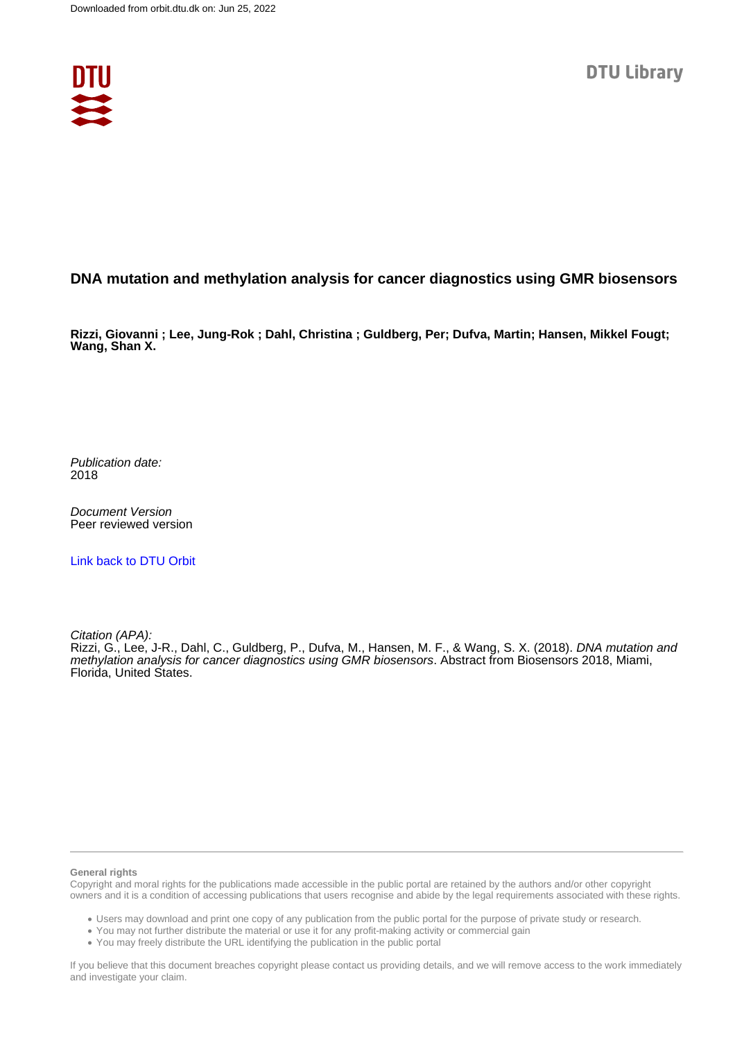

## **DNA mutation and methylation analysis for cancer diagnostics using GMR biosensors**

**Rizzi, Giovanni ; Lee, Jung-Rok ; Dahl, Christina ; Guldberg, Per; Dufva, Martin; Hansen, Mikkel Fougt; Wang, Shan X.**

Publication date: 2018

Document Version Peer reviewed version

[Link back to DTU Orbit](https://orbit.dtu.dk/en/publications/d64dd542-7bc6-4854-8864-f55d3e8abfa1)

Citation (APA):

Rizzi, G., Lee, J-R., Dahl, C., Guldberg, P., Dufva, M., Hansen, M. F., & Wang, S. X. (2018). DNA mutation and methylation analysis for cancer diagnostics using GMR biosensors. Abstract from Biosensors 2018, Miami, Florida, United States.

## **General rights**

Copyright and moral rights for the publications made accessible in the public portal are retained by the authors and/or other copyright owners and it is a condition of accessing publications that users recognise and abide by the legal requirements associated with these rights.

Users may download and print one copy of any publication from the public portal for the purpose of private study or research.

- You may not further distribute the material or use it for any profit-making activity or commercial gain
- You may freely distribute the URL identifying the publication in the public portal

If you believe that this document breaches copyright please contact us providing details, and we will remove access to the work immediately and investigate your claim.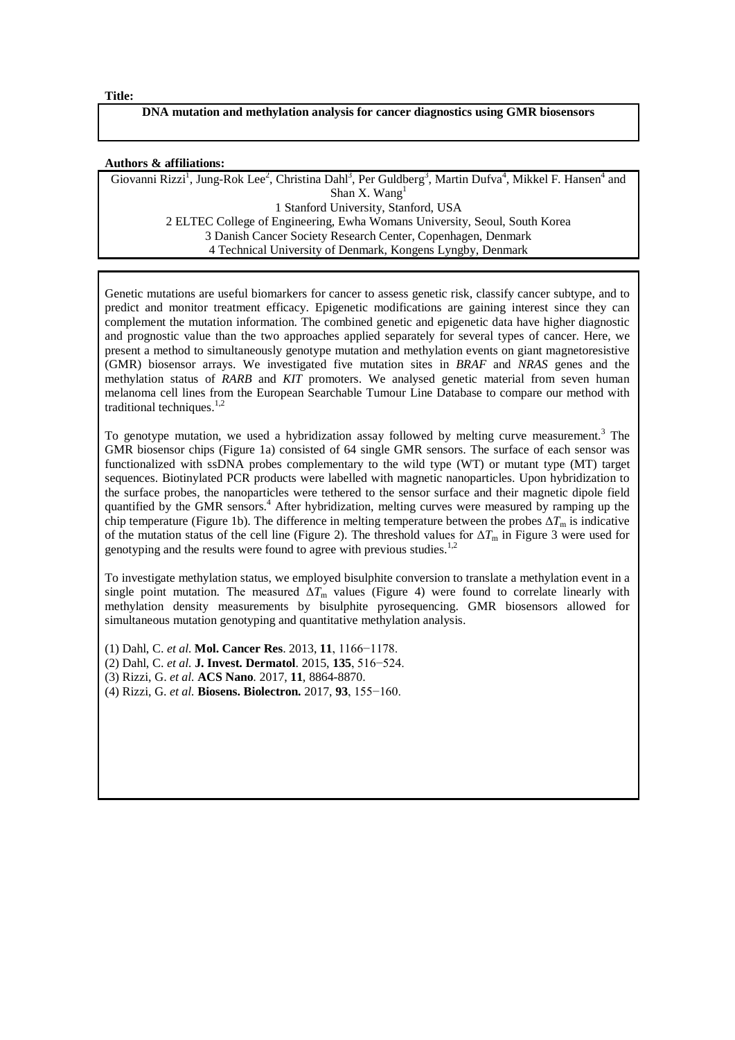**Title:**

## **DNA mutation and methylation analysis for cancer diagnostics using GMR biosensors**

## **Authors & affiliations:**

Giovanni Rizzi<sup>1</sup>, Jung-Rok Lee<sup>2</sup>, Christina Dahl<sup>3</sup>, Per Guldberg<sup>3</sup>, Martin Dufva<sup>4</sup>, Mikkel F. Hansen<sup>4</sup> and Shan X. Wang<sup>1</sup> 1 Stanford University, Stanford, USA 2 ELTEC College of Engineering, Ewha Womans University, Seoul, South Korea 3 Danish Cancer Society Research Center, Copenhagen, Denmark 4 Technical University of Denmark, Kongens Lyngby, Denmark

Genetic mutations are useful biomarkers for cancer to assess genetic risk, classify cancer subtype, and to predict and monitor treatment efficacy. Epigenetic modifications are gaining interest since they can complement the mutation information. The combined genetic and epigenetic data have higher diagnostic and prognostic value than the two approaches applied separately for several types of cancer. Here, we present a method to simultaneously genotype mutation and methylation events on giant magnetoresistive (GMR) biosensor arrays. We investigated five mutation sites in *BRAF* and *NRAS* genes and the methylation status of *RARB* and *KIT* promoters. We analysed genetic material from seven human melanoma cell lines from the European Searchable Tumour Line Database to compare our method with traditional techniques.<sup>1,2</sup>

To genotype mutation, we used a hybridization assay followed by melting curve measurement.<sup>3</sup> The GMR biosensor chips (Figure 1a) consisted of 64 single GMR sensors. The surface of each sensor was functionalized with ssDNA probes complementary to the wild type (WT) or mutant type (MT) target sequences. Biotinylated PCR products were labelled with magnetic nanoparticles. Upon hybridization to the surface probes, the nanoparticles were tethered to the sensor surface and their magnetic dipole field quantified by the GMR sensors.<sup>4</sup> After hybridization, melting curves were measured by ramping up the chip temperature (Figure 1b). The difference in melting temperature between the probes  $\Delta T_m$  is indicative of the mutation status of the cell line (Figure 2). The threshold values for  $\Delta T_m$  in Figure 3 were used for genotyping and the results were found to agree with previous studies.<sup>1,2</sup>

To investigate methylation status, we employed bisulphite conversion to translate a methylation event in a single point mutation. The measured  $\Delta T_{\text{m}}$  values (Figure 4) were found to correlate linearly with methylation density measurements by bisulphite pyrosequencing. GMR biosensors allowed for simultaneous mutation genotyping and quantitative methylation analysis.

(1) Dahl, C. *et al.* **Mol. Cancer Res**. 2013, **11**, 1166−1178.

- (2) Dahl, C. *et al.* **J. Invest. Dermatol**. 2015, **135**, 516−524.
- (3) Rizzi, G. *et al.* **ACS Nano**. 2017, **11**, 8864-8870.
- (4) Rizzi, G. *et al.* **Biosens. Biolectron.** 2017, **93**, 155−160.